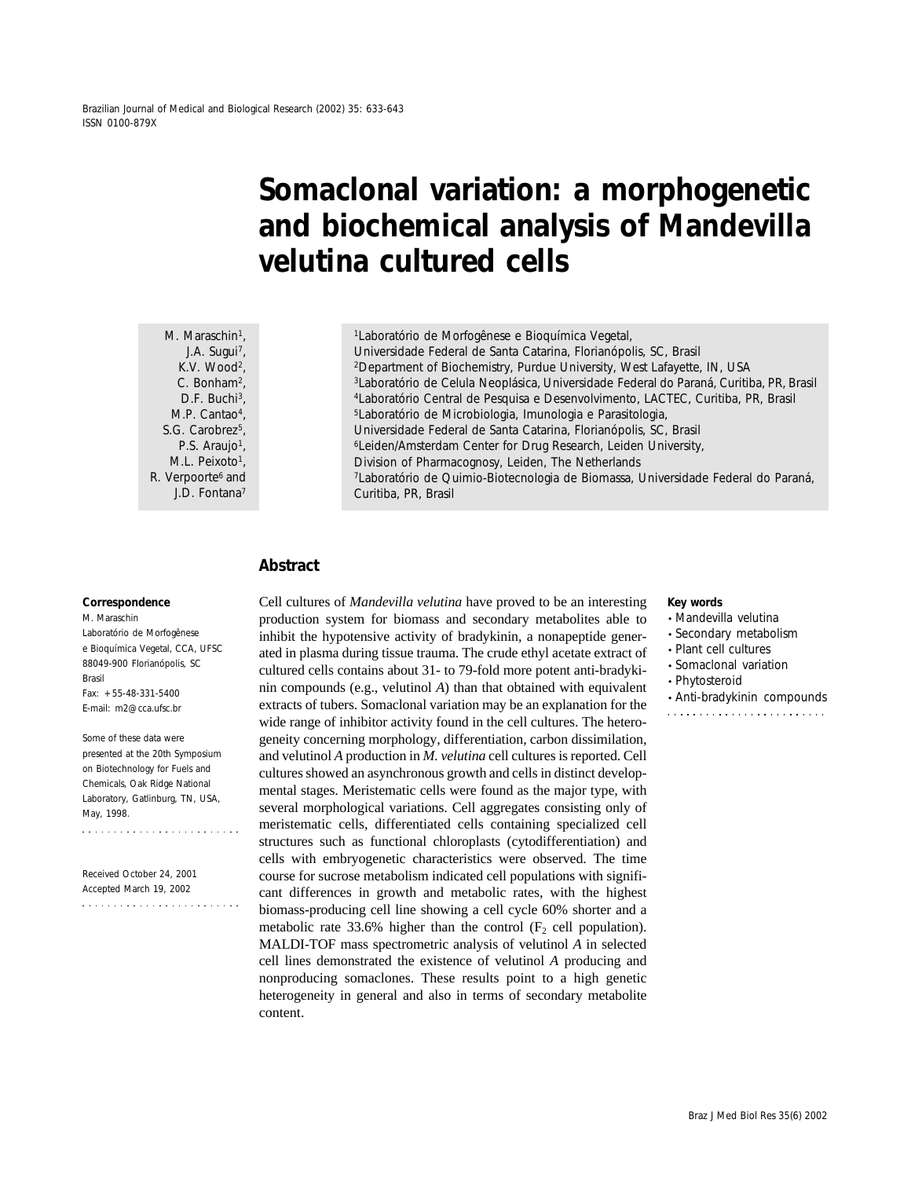Brazilian Journal of Medical and Biological Research (2002) 35: 633-643 ISSN 0100-879X

# **Somaclonal variation: a morphogenetic and biochemical analysis of** *Mandevilla velutina* **cultured cells**

M. Maraschin<sup>1</sup>, J.A. Sugui<sup>7</sup>, K.V. Wood<sup>2</sup>, C. Bonham2, D.F. Buchi<sup>3</sup>. M.P. Cantao<sup>4</sup>, S.G. Carobrez<sup>5</sup>, P.S. Araujo<sup>1</sup>, M.L. Peixoto<sup>1</sup>, R. Verpoorte<sup>6</sup> and J.D. Fontana7

1Laboratório de Morfogênese e Bioquímica Vegetal, Universidade Federal de Santa Catarina, Florianópolis, SC, Brasil 2Department of Biochemistry, Purdue University, West Lafayette, IN, USA 3Laboratório de Celula Neoplásica, Universidade Federal do Paraná, Curitiba, PR, Brasil 4Laboratório Central de Pesquisa e Desenvolvimento, LACTEC, Curitiba, PR, Brasil 5Laboratório de Microbiologia, Imunologia e Parasitologia, Universidade Federal de Santa Catarina, Florianópolis, SC, Brasil 6Leiden/Amsterdam Center for Drug Research, Leiden University, Division of Pharmacognosy, Leiden, The Netherlands 7Laboratório de Quimio-Biotecnologia de Biomassa, Universidade Federal do Paraná, Curitiba, PR, Brasil

## **Abstract**

#### **Correspondence**

M. Maraschin Laboratório de Morfogênese e Bioquímica Vegetal, CCA, UFSC 88049-900 Florianópolis, SC Brasil  $Fax: +55-48-331-5400$ E-mail: m2@cca.ufsc.br

Some of these data were presented at the 20th Symposium on Biotechnology for Fuels and Chemicals, Oak Ridge National Laboratory, Gatlinburg, TN, USA, May, 1998.

Received October 24, 2001 Accepted March 19, 2002  Cell cultures of *Mandevilla velutina* have proved to be an interesting production system for biomass and secondary metabolites able to inhibit the hypotensive activity of bradykinin, a nonapeptide generated in plasma during tissue trauma. The crude ethyl acetate extract of cultured cells contains about 31- to 79-fold more potent anti-bradykinin compounds (e.g., velutinol *A*) than that obtained with equivalent extracts of tubers. Somaclonal variation may be an explanation for the wide range of inhibitor activity found in the cell cultures. The heterogeneity concerning morphology, differentiation, carbon dissimilation, and velutinol *A* production in *M. velutina* cell cultures is reported. Cell cultures showed an asynchronous growth and cells in distinct developmental stages. Meristematic cells were found as the major type, with several morphological variations. Cell aggregates consisting only of meristematic cells, differentiated cells containing specialized cell structures such as functional chloroplasts (cytodifferentiation) and cells with embryogenetic characteristics were observed. The time course for sucrose metabolism indicated cell populations with significant differences in growth and metabolic rates, with the highest biomass-producing cell line showing a cell cycle 60% shorter and a metabolic rate 33.6% higher than the control  $(F_2 \text{ cell population})$ . MALDI-TOF mass spectrometric analysis of velutinol *A* in selected cell lines demonstrated the existence of velutinol *A* producing and nonproducing somaclones. These results point to a high genetic heterogeneity in general and also in terms of secondary metabolite content.

#### **Key words**

- *Mandevilla velutina*
- Secondary metabolism
- Plant cell cultures
- Somaclonal variation
- Phytosteroid
- Anti-bradykinin compounds
-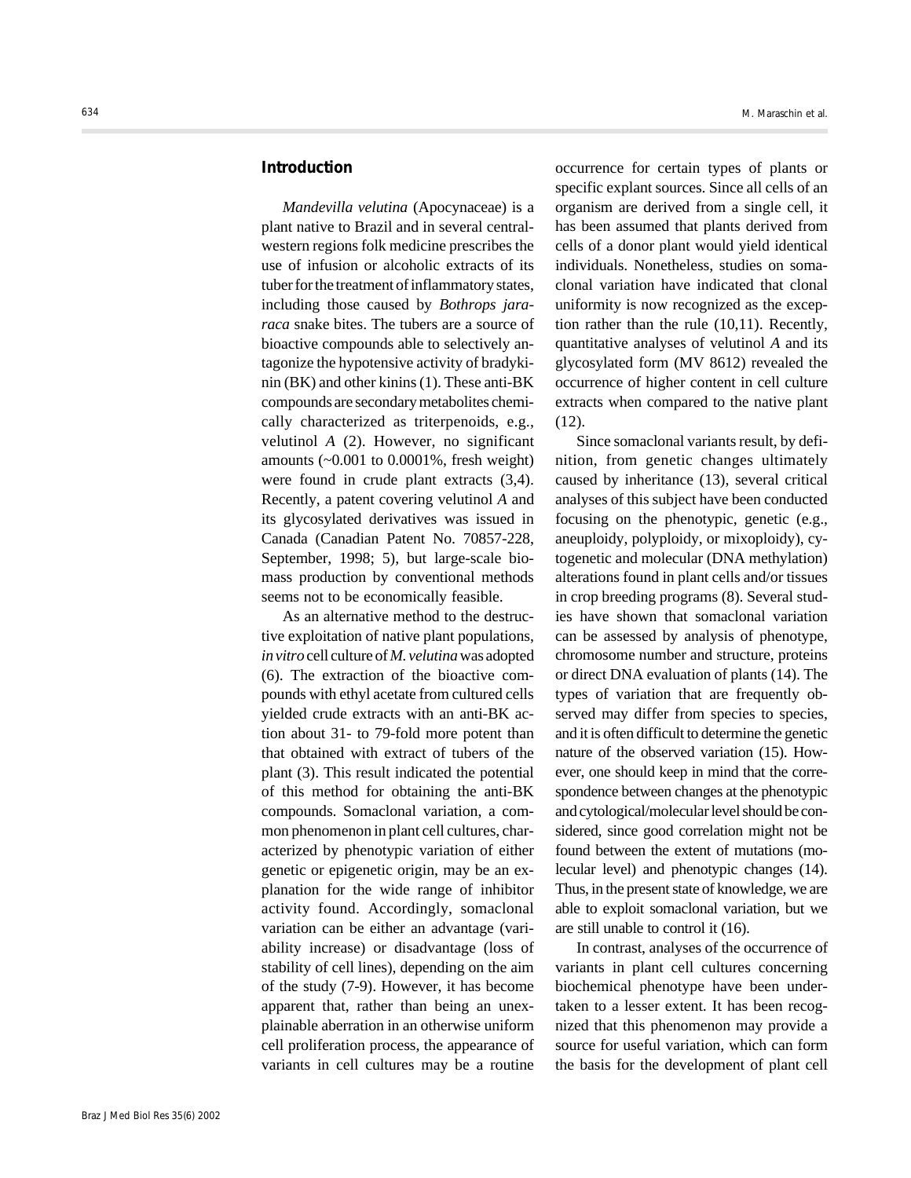# **Introduction**

*Mandevilla velutina* (Apocynaceae) is a plant native to Brazil and in several centralwestern regions folk medicine prescribes the use of infusion or alcoholic extracts of its tuber for the treatment of inflammatory states, including those caused by *Bothrops jararaca* snake bites. The tubers are a source of bioactive compounds able to selectively antagonize the hypotensive activity of bradykinin (BK) and other kinins (1). These anti-BK compounds are secondary metabolites chemically characterized as triterpenoids, e.g., velutinol *A* (2). However, no significant amounts (~0.001 to 0.0001%, fresh weight) were found in crude plant extracts (3,4). Recently, a patent covering velutinol *A* and its glycosylated derivatives was issued in Canada (Canadian Patent No. 70857-228, September, 1998; 5), but large-scale biomass production by conventional methods seems not to be economically feasible.

As an alternative method to the destructive exploitation of native plant populations, *in vitro* cell culture of *M. velutina* was adopted (6). The extraction of the bioactive compounds with ethyl acetate from cultured cells yielded crude extracts with an anti-BK action about 31- to 79-fold more potent than that obtained with extract of tubers of the plant (3). This result indicated the potential of this method for obtaining the anti-BK compounds. Somaclonal variation, a common phenomenon in plant cell cultures, characterized by phenotypic variation of either genetic or epigenetic origin, may be an explanation for the wide range of inhibitor activity found. Accordingly, somaclonal variation can be either an advantage (variability increase) or disadvantage (loss of stability of cell lines), depending on the aim of the study (7-9). However, it has become apparent that, rather than being an unexplainable aberration in an otherwise uniform cell proliferation process, the appearance of variants in cell cultures may be a routine occurrence for certain types of plants or specific explant sources. Since all cells of an organism are derived from a single cell, it has been assumed that plants derived from cells of a donor plant would yield identical individuals. Nonetheless, studies on somaclonal variation have indicated that clonal uniformity is now recognized as the exception rather than the rule (10,11). Recently, quantitative analyses of velutinol *A* and its glycosylated form (MV 8612) revealed the occurrence of higher content in cell culture extracts when compared to the native plant  $(12)$ .

Since somaclonal variants result, by definition, from genetic changes ultimately caused by inheritance (13), several critical analyses of this subject have been conducted focusing on the phenotypic, genetic (e.g., aneuploidy, polyploidy, or mixoploidy), cytogenetic and molecular (DNA methylation) alterations found in plant cells and/or tissues in crop breeding programs (8). Several studies have shown that somaclonal variation can be assessed by analysis of phenotype, chromosome number and structure, proteins or direct DNA evaluation of plants (14). The types of variation that are frequently observed may differ from species to species, and it is often difficult to determine the genetic nature of the observed variation (15). However, one should keep in mind that the correspondence between changes at the phenotypic and cytological/molecular level should be considered, since good correlation might not be found between the extent of mutations (molecular level) and phenotypic changes (14). Thus, in the present state of knowledge, we are able to exploit somaclonal variation, but we are still unable to control it (16).

In contrast, analyses of the occurrence of variants in plant cell cultures concerning biochemical phenotype have been undertaken to a lesser extent. It has been recognized that this phenomenon may provide a source for useful variation, which can form the basis for the development of plant cell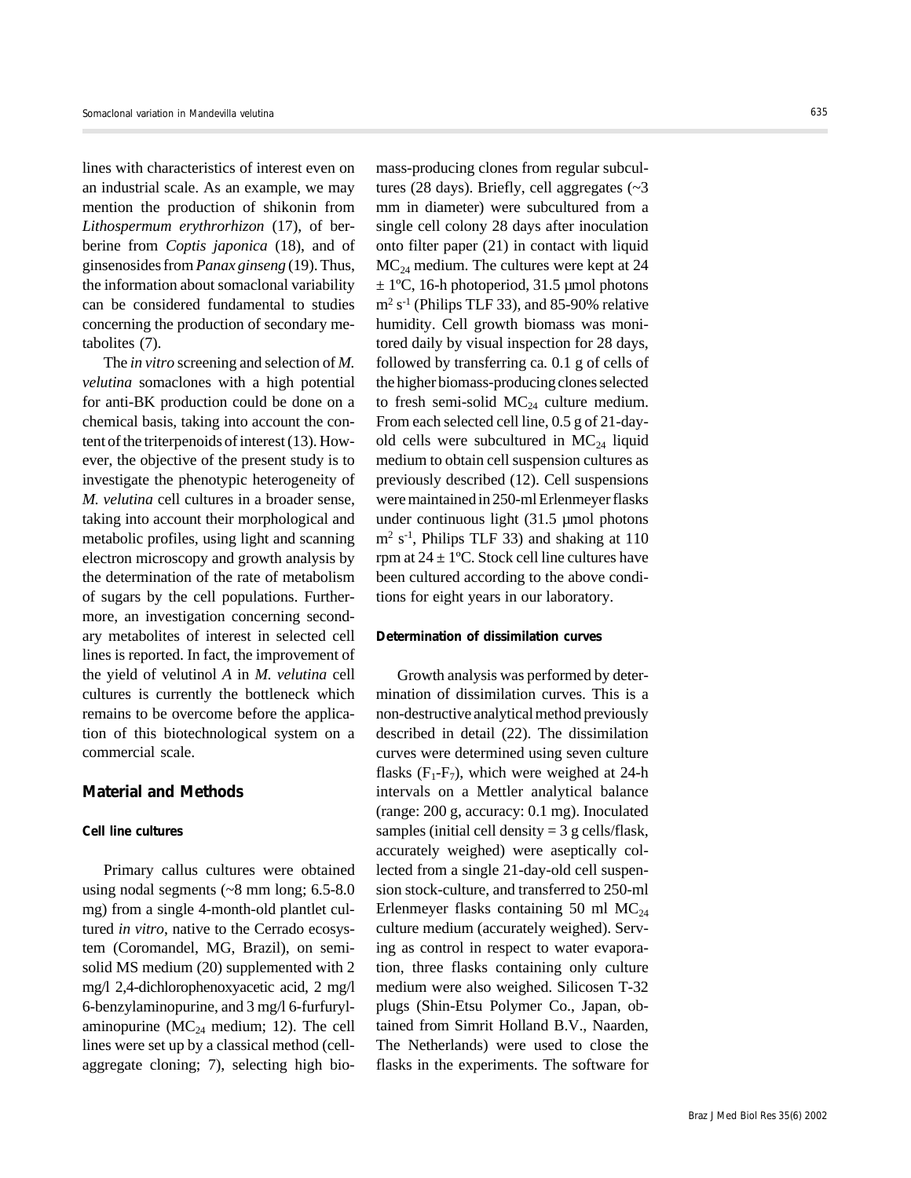lines with characteristics of interest even on an industrial scale. As an example, we may mention the production of shikonin from *Lithospermum erythrorhizon* (17), of berberine from *Coptis japonica* (18), and of ginsenosides from *Panax ginseng* (19). Thus, the information about somaclonal variability can be considered fundamental to studies concerning the production of secondary metabolites (7).

The *in vitro* screening and selection of *M. velutina* somaclones with a high potential for anti-BK production could be done on a chemical basis, taking into account the content of the triterpenoids of interest (13). However, the objective of the present study is to investigate the phenotypic heterogeneity of *M. velutina* cell cultures in a broader sense, taking into account their morphological and metabolic profiles, using light and scanning electron microscopy and growth analysis by the determination of the rate of metabolism of sugars by the cell populations. Furthermore, an investigation concerning secondary metabolites of interest in selected cell lines is reported. In fact, the improvement of the yield of velutinol *A* in *M. velutina* cell cultures is currently the bottleneck which remains to be overcome before the application of this biotechnological system on a commercial scale.

# **Material and Methods**

## **Cell line cultures**

Primary callus cultures were obtained using nodal segments (~8 mm long; 6.5-8.0 mg) from a single 4-month-old plantlet cultured *in vitro*, native to the Cerrado ecosystem (Coromandel, MG, Brazil), on semisolid MS medium (20) supplemented with 2 mg/l 2,4-dichlorophenoxyacetic acid, 2 mg/l 6-benzylaminopurine, and 3 mg/l 6-furfurylaminopurine ( $MC_{24}$  medium; 12). The cell lines were set up by a classical method (cellaggregate cloning; 7), selecting high biomass-producing clones from regular subcultures (28 days). Briefly, cell aggregates  $\sim$ 3 mm in diameter) were subcultured from a single cell colony 28 days after inoculation onto filter paper (21) in contact with liquid  $MC<sub>24</sub>$  medium. The cultures were kept at 24  $\pm$  1°C, 16-h photoperiod, 31.5 µmol photons  $m<sup>2</sup> s<sup>-1</sup>$  (Philips TLF 33), and 85-90% relative humidity. Cell growth biomass was monitored daily by visual inspection for 28 days, followed by transferring ca*.* 0.1 g of cells of the higher biomass-producing clones selected to fresh semi-solid  $MC_{24}$  culture medium. From each selected cell line, 0.5 g of 21-dayold cells were subcultured in  $MC_{24}$  liquid medium to obtain cell suspension cultures as previously described (12). Cell suspensions were maintained in 250-ml Erlenmeyer flasks under continuous light (31.5 µmol photons  $m<sup>2</sup> s<sup>-1</sup>$ , Philips TLF 33) and shaking at 110 rpm at  $24 \pm 1$ °C. Stock cell line cultures have been cultured according to the above conditions for eight years in our laboratory.

## **Determination of dissimilation curves**

Growth analysis was performed by determination of dissimilation curves. This is a non-destructive analytical method previously described in detail (22). The dissimilation curves were determined using seven culture flasks  $(F_1-F_7)$ , which were weighed at 24-h intervals on a Mettler analytical balance (range: 200 g, accuracy: 0.1 mg). Inoculated samples (initial cell density  $= 3$  g cells/flask, accurately weighed) were aseptically collected from a single 21-day-old cell suspension stock-culture, and transferred to 250-ml Erlenmeyer flasks containing 50 ml  $MC_{24}$ culture medium (accurately weighed). Serving as control in respect to water evaporation, three flasks containing only culture medium were also weighed. Silicosen T-32 plugs (Shin-Etsu Polymer Co., Japan, obtained from Simrit Holland B.V., Naarden, The Netherlands) were used to close the flasks in the experiments. The software for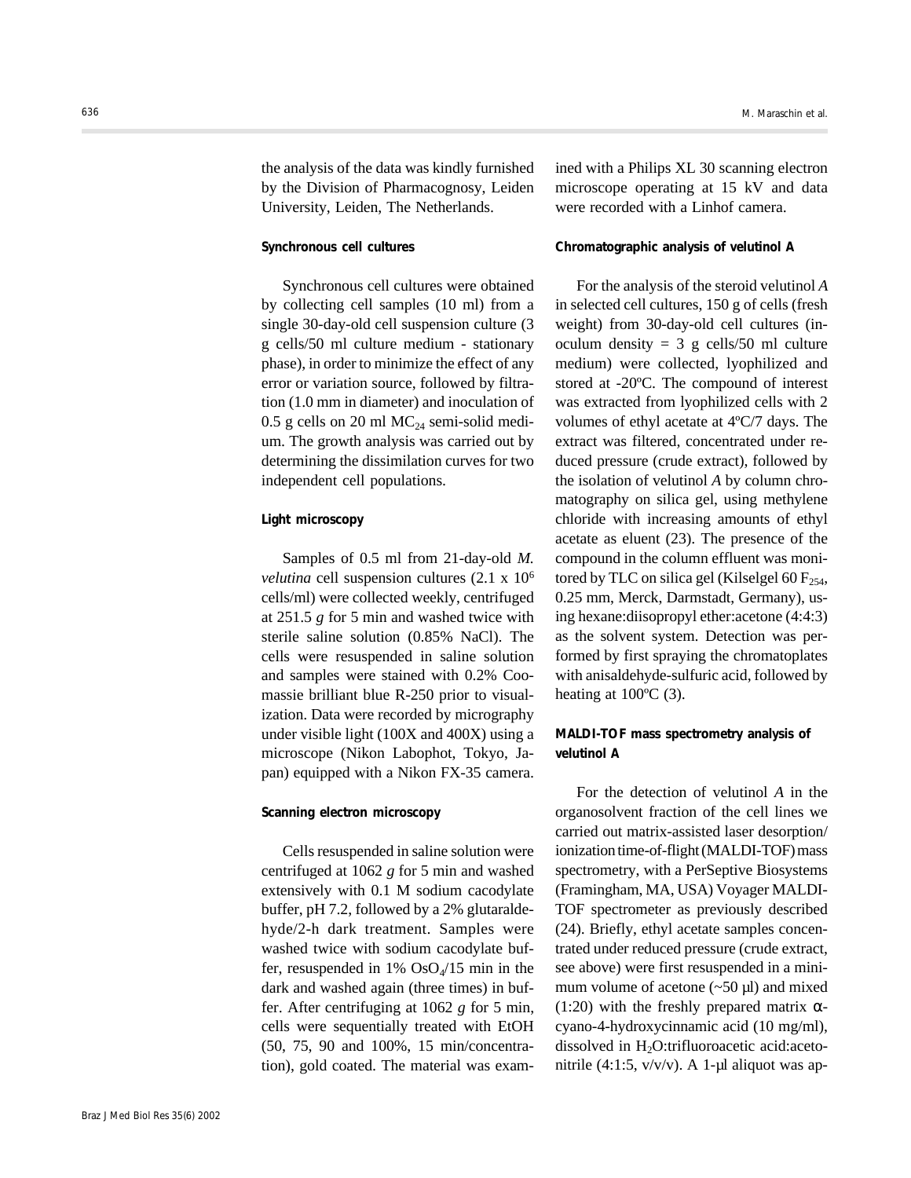the analysis of the data was kindly furnished by the Division of Pharmacognosy, Leiden University, Leiden, The Netherlands.

## **Synchronous cell cultures**

Synchronous cell cultures were obtained by collecting cell samples (10 ml) from a single 30-day-old cell suspension culture (3 g cells/50 ml culture medium - stationary phase), in order to minimize the effect of any error or variation source, followed by filtration (1.0 mm in diameter) and inoculation of 0.5 g cells on 20 ml  $MC_{24}$  semi-solid medium. The growth analysis was carried out by determining the dissimilation curves for two independent cell populations.

## **Light microscopy**

Samples of 0.5 ml from 21-day-old *M. velutina* cell suspension cultures (2.1 x 106 cells/ml) were collected weekly, centrifuged at 251.5 *g* for 5 min and washed twice with sterile saline solution (0.85% NaCl). The cells were resuspended in saline solution and samples were stained with 0.2% Coomassie brilliant blue R-250 prior to visualization. Data were recorded by micrography under visible light (100X and 400X) using a microscope (Nikon Labophot, Tokyo, Japan) equipped with a Nikon FX-35 camera.

### **Scanning electron microscopy**

Cells resuspended in saline solution were centrifuged at 1062 *g* for 5 min and washed extensively with 0.1 M sodium cacodylate buffer, pH 7.2, followed by a 2% glutaraldehyde/2-h dark treatment. Samples were washed twice with sodium cacodylate buffer, resuspended in  $1\%$  OsO<sub>4</sub>/15 min in the dark and washed again (three times) in buffer. After centrifuging at 1062 *g* for 5 min, cells were sequentially treated with EtOH (50, 75, 90 and 100%, 15 min/concentration), gold coated. The material was examined with a Philips XL 30 scanning electron microscope operating at 15 kV and data were recorded with a Linhof camera.

## **Chromatographic analysis of velutinol** *A*

For the analysis of the steroid velutinol *A* in selected cell cultures, 150 g of cells (fresh weight) from 30-day-old cell cultures (inoculum density =  $3$  g cells/50 ml culture medium) were collected, lyophilized and stored at -20ºC. The compound of interest was extracted from lyophilized cells with 2 volumes of ethyl acetate at 4ºC/7 days. The extract was filtered, concentrated under reduced pressure (crude extract), followed by the isolation of velutinol *A* by column chromatography on silica gel, using methylene chloride with increasing amounts of ethyl acetate as eluent (23). The presence of the compound in the column effluent was monitored by TLC on silica gel (Kilselgel 60  $F_{254}$ , 0.25 mm, Merck, Darmstadt, Germany), using hexane:diisopropyl ether:acetone (4:4:3) as the solvent system. Detection was performed by first spraying the chromatoplates with anisaldehyde-sulfuric acid, followed by heating at  $100^{\circ}$ C (3).

# **MALDI-TOF mass spectrometry analysis of velutinol** *A*

For the detection of velutinol *A* in the organosolvent fraction of the cell lines we carried out matrix-assisted laser desorption/ ionization time-of-flight (MALDI-TOF) mass spectrometry, with a PerSeptive Biosystems (Framingham, MA, USA) Voyager MALDI-TOF spectrometer as previously described (24). Briefly, ethyl acetate samples concentrated under reduced pressure (crude extract, see above) were first resuspended in a minimum volume of acetone  $({\sim}50 \,\mu l)$  and mixed (1:20) with the freshly prepared matrix  $\alpha$ cyano-4-hydroxycinnamic acid (10 mg/ml), dissolved in H<sub>2</sub>O:trifluoroacetic acid:acetonitrile  $(4:1:5, v/v/v)$ . A 1-µl aliquot was ap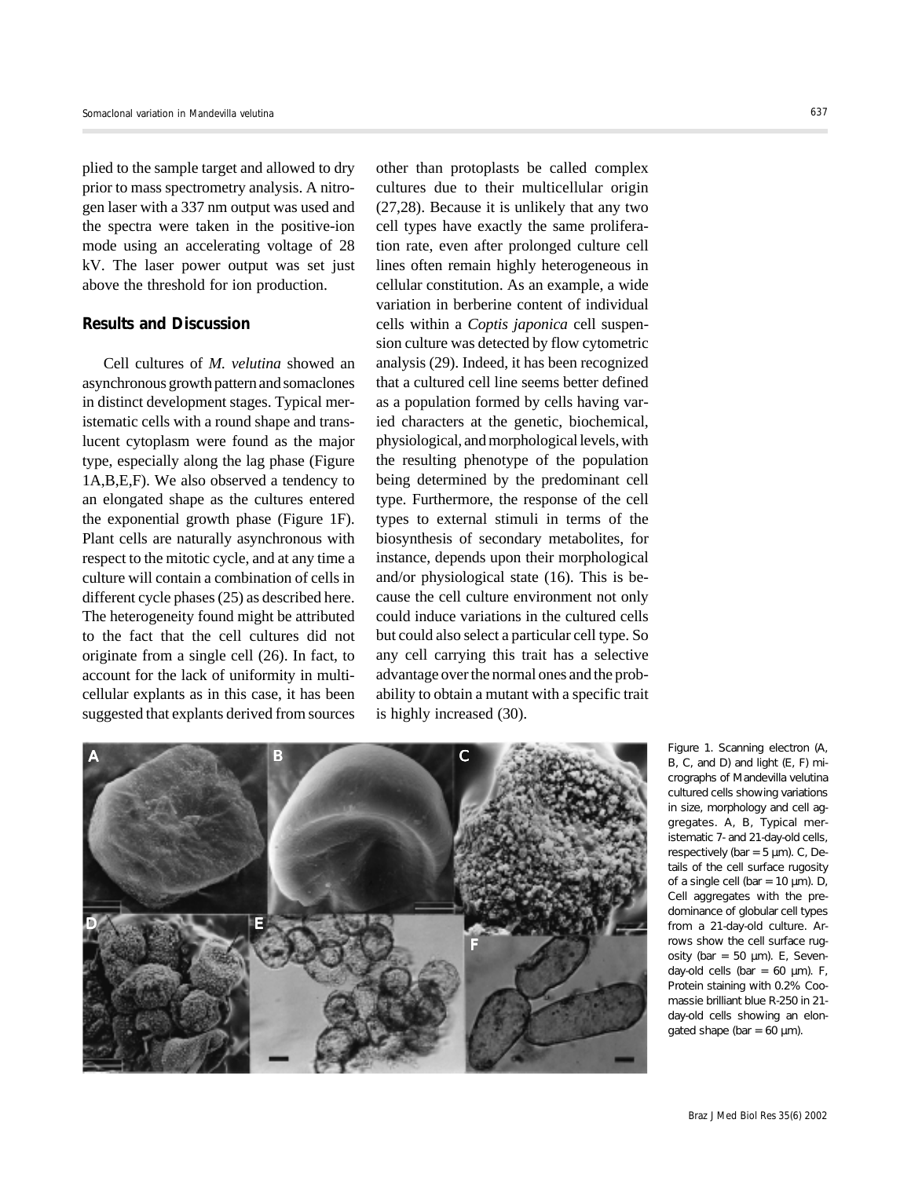plied to the sample target and allowed to dry prior to mass spectrometry analysis. A nitrogen laser with a 337 nm output was used and the spectra were taken in the positive-ion mode using an accelerating voltage of 28 kV. The laser power output was set just above the threshold for ion production.

# **Results and Discussion**

Cell cultures of *M. velutina* showed an asynchronous growth pattern and somaclones in distinct development stages. Typical meristematic cells with a round shape and translucent cytoplasm were found as the major type, especially along the lag phase (Figure 1A,B,E,F). We also observed a tendency to an elongated shape as the cultures entered the exponential growth phase (Figure 1F). Plant cells are naturally asynchronous with respect to the mitotic cycle, and at any time a culture will contain a combination of cells in different cycle phases (25) as described here. The heterogeneity found might be attributed to the fact that the cell cultures did not originate from a single cell (26). In fact, to account for the lack of uniformity in multicellular explants as in this case, it has been suggested that explants derived from sources

other than protoplasts be called complex cultures due to their multicellular origin (27,28). Because it is unlikely that any two cell types have exactly the same proliferation rate, even after prolonged culture cell lines often remain highly heterogeneous in cellular constitution. As an example, a wide variation in berberine content of individual cells within a *Coptis japonica* cell suspension culture was detected by flow cytometric analysis (29). Indeed, it has been recognized that a cultured cell line seems better defined as a population formed by cells having varied characters at the genetic, biochemical, physiological, and morphological levels, with the resulting phenotype of the population being determined by the predominant cell type. Furthermore, the response of the cell types to external stimuli in terms of the biosynthesis of secondary metabolites, for instance, depends upon their morphological and/or physiological state (16). This is because the cell culture environment not only could induce variations in the cultured cells but could also select a particular cell type. So any cell carrying this trait has a selective advantage over the normal ones and the probability to obtain a mutant with a specific trait is highly increased (30).



Figure 1. Scanning electron (A, B, C, and D) and light (E, F) micrographs of *Mandevilla velutina* cultured cells showing variations in size, morphology and cell aggregates. *A*, *B*, Typical meristematic 7- and 21-day-old cells, respectively (bar = 5 µm). *C*, Details of the cell surface rugosity of a single cell (bar = 10 µm). *D*, Cell aggregates with the predominance of globular cell types from a 21-day-old culture. Arrows show the cell surface rugosity (bar = 50 µm). *E*, Sevenday-old cells (bar = 60 µm). *F*, Protein staining with 0.2% Coomassie brilliant blue R-250 in 21 day-old cells showing an elongated shape (bar =  $60 \mu m$ ).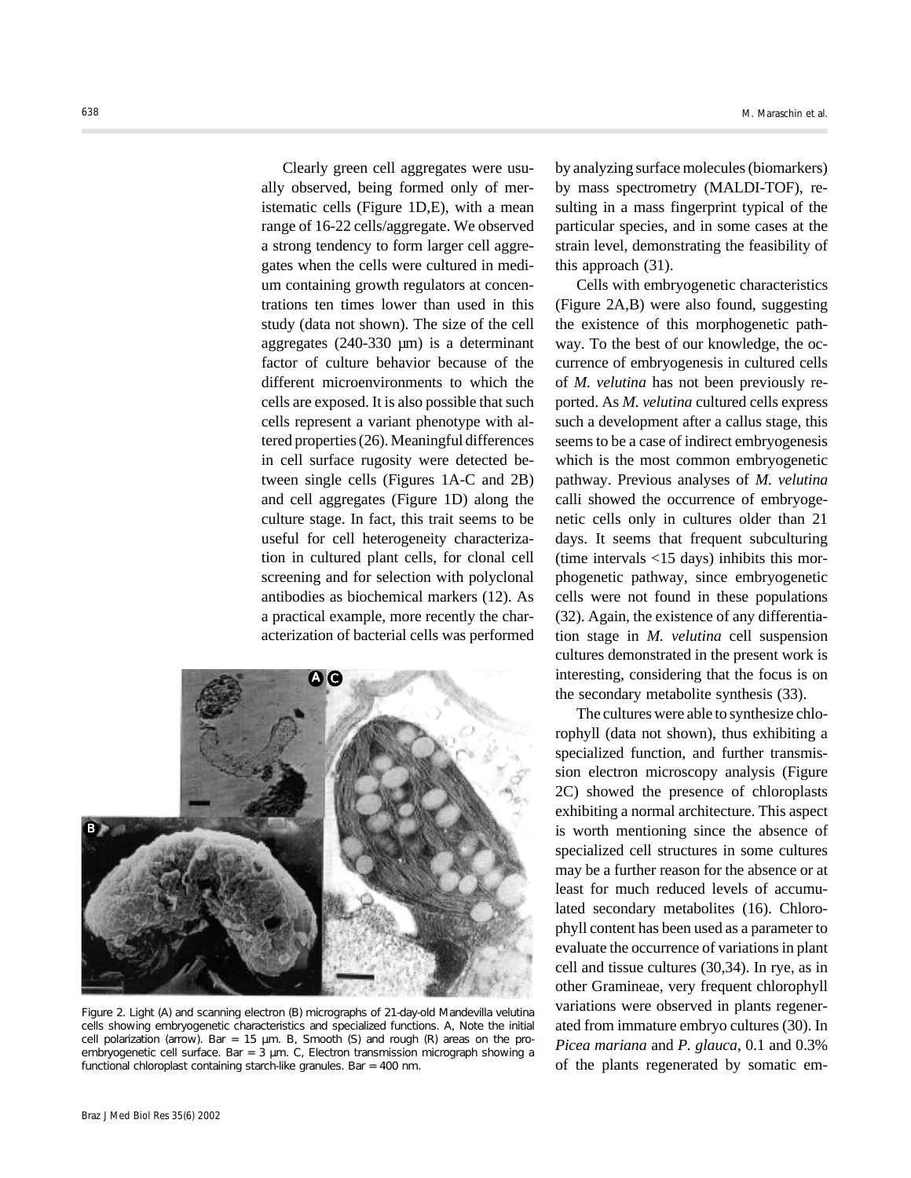Clearly green cell aggregates were usually observed, being formed only of meristematic cells (Figure 1D,E), with a mean range of 16-22 cells/aggregate. We observed a strong tendency to form larger cell aggregates when the cells were cultured in medium containing growth regulators at concentrations ten times lower than used in this study (data not shown). The size of the cell aggregates (240-330 µm) is a determinant factor of culture behavior because of the different microenvironments to which the cells are exposed. It is also possible that such cells represent a variant phenotype with altered properties (26). Meaningful differences in cell surface rugosity were detected between single cells (Figures 1A-C and 2B) and cell aggregates (Figure 1D) along the culture stage. In fact, this trait seems to be useful for cell heterogeneity characterization in cultured plant cells, for clonal cell screening and for selection with polyclonal antibodies as biochemical markers (12). As a practical example, more recently the characterization of bacterial cells was performed



Figure 2. Light (A) and scanning electron (B) micrographs of 21-day-old *Mandevilla velutina* cells showing embryogenetic characteristics and specialized functions. *A*, Note the initial cell polarization (arrow). Bar = 15  $\mu$ m. B, Smooth (S) and rough (R) areas on the proembryogenetic cell surface. Bar = 3 µm. *C*, Electron transmission micrograph showing a functional chloroplast containing starch-like granules. Bar = 400 nm.

by analyzing surface molecules (biomarkers) by mass spectrometry (MALDI-TOF), resulting in a mass fingerprint typical of the particular species, and in some cases at the strain level, demonstrating the feasibility of this approach (31).

Cells with embryogenetic characteristics (Figure 2A,B) were also found, suggesting the existence of this morphogenetic pathway. To the best of our knowledge, the occurrence of embryogenesis in cultured cells of *M. velutina* has not been previously reported. As *M. velutina* cultured cells express such a development after a callus stage, this seems to be a case of indirect embryogenesis which is the most common embryogenetic pathway. Previous analyses of *M. velutina* calli showed the occurrence of embryogenetic cells only in cultures older than 21 days. It seems that frequent subculturing (time intervals <15 days) inhibits this morphogenetic pathway, since embryogenetic cells were not found in these populations (32). Again, the existence of any differentiation stage in *M. velutina* cell suspension cultures demonstrated in the present work is interesting, considering that the focus is on the secondary metabolite synthesis (33).

The cultures were able to synthesize chlorophyll (data not shown), thus exhibiting a specialized function, and further transmission electron microscopy analysis (Figure 2C) showed the presence of chloroplasts exhibiting a normal architecture. This aspect is worth mentioning since the absence of specialized cell structures in some cultures may be a further reason for the absence or at least for much reduced levels of accumulated secondary metabolites (16). Chlorophyll content has been used as a parameter to evaluate the occurrence of variations in plant cell and tissue cultures (30,34). In rye, as in other Gramineae, very frequent chlorophyll variations were observed in plants regenerated from immature embryo cultures (30). In *Picea mariana* and *P. glauca*, 0.1 and 0.3% of the plants regenerated by somatic em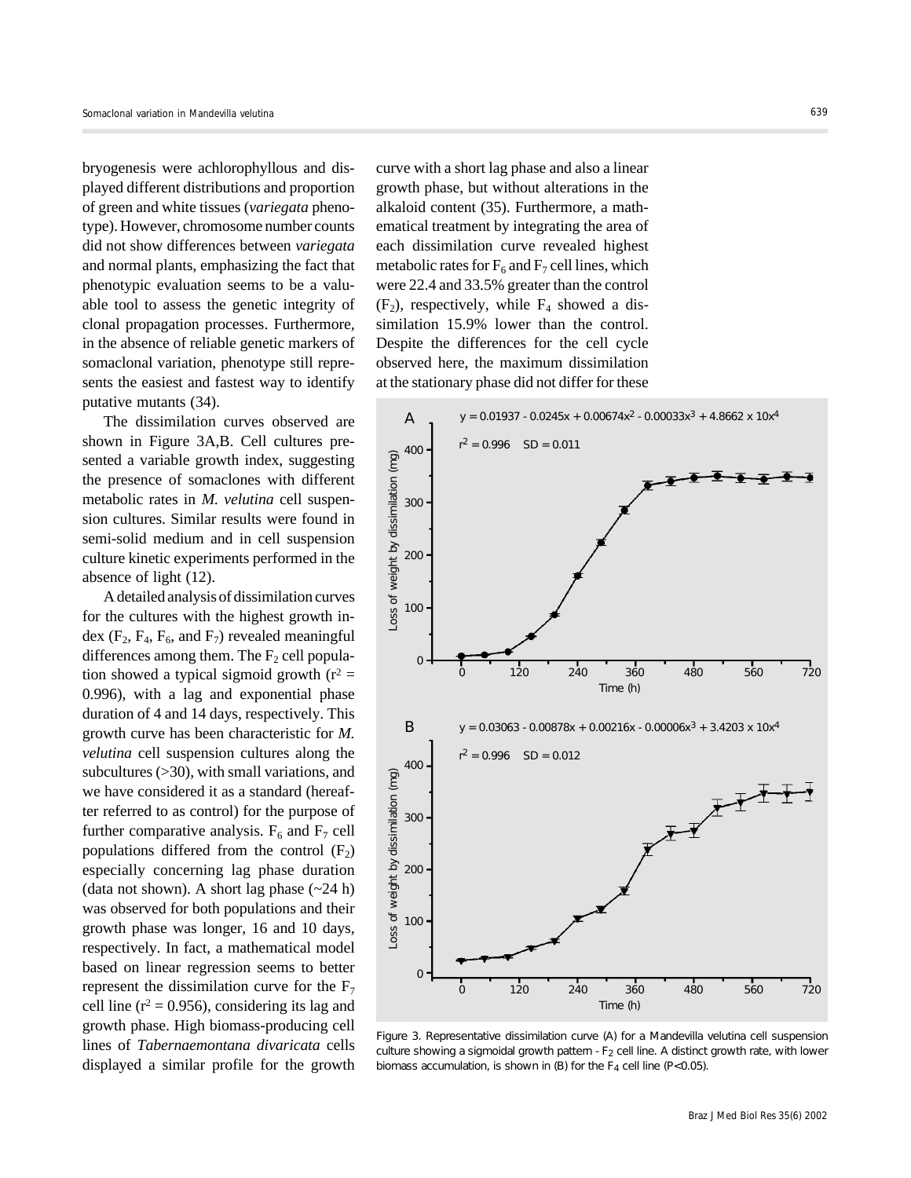bryogenesis were achlorophyllous and displayed different distributions and proportion of green and white tissues (*variegata* phenotype). However, chromosome number counts did not show differences between *variegata* and normal plants, emphasizing the fact that phenotypic evaluation seems to be a valuable tool to assess the genetic integrity of clonal propagation processes. Furthermore, in the absence of reliable genetic markers of somaclonal variation, phenotype still represents the easiest and fastest way to identify putative mutants (34).

The dissimilation curves observed are shown in Figure 3A,B. Cell cultures presented a variable growth index, suggesting the presence of somaclones with different metabolic rates in *M. velutina* cell suspension cultures. Similar results were found in semi-solid medium and in cell suspension culture kinetic experiments performed in the absence of light (12).

A detailed analysis of dissimilation curves for the cultures with the highest growth index  $(F_2, F_4, F_6, \text{ and } F_7)$  revealed meaningful differences among them. The  $F_2$  cell population showed a typical sigmoid growth ( $r^2$  = 0.996), with a lag and exponential phase duration of 4 and 14 days, respectively. This growth curve has been characteristic for *M. velutina* cell suspension cultures along the subcultures (>30), with small variations, and we have considered it as a standard (hereafter referred to as control) for the purpose of further comparative analysis.  $F_6$  and  $F_7$  cell populations differed from the control  $(F_2)$ especially concerning lag phase duration (data not shown). A short lag phase  $(\sim 24 \text{ h})$ was observed for both populations and their growth phase was longer, 16 and 10 days, respectively. In fact, a mathematical model based on linear regression seems to better represent the dissimilation curve for the  $F_7$ cell line ( $r^2$  = 0.956), considering its lag and growth phase. High biomass-producing cell lines of *Tabernaemontana divaricata* cells displayed a similar profile for the growth

curve with a short lag phase and also a linear growth phase, but without alterations in the alkaloid content (35). Furthermore, a mathematical treatment by integrating the area of each dissimilation curve revealed highest metabolic rates for  $F_6$  and  $F_7$  cell lines, which were 22.4 and 33.5% greater than the control  $(F_2)$ , respectively, while  $F_4$  showed a dissimilation 15.9% lower than the control. Despite the differences for the cell cycle observed here, the maximum dissimilation at the stationary phase did not differ for these



Figure 3. Representative dissimilation curve (A) for a *Mandevilla velutina* cell suspension culture showing a sigmoidal growth pattern  $-F<sub>2</sub>$  cell line. A distinct growth rate, with lower biomass accumulation, is shown in (B) for the  $F_4$  cell line (P<0.05).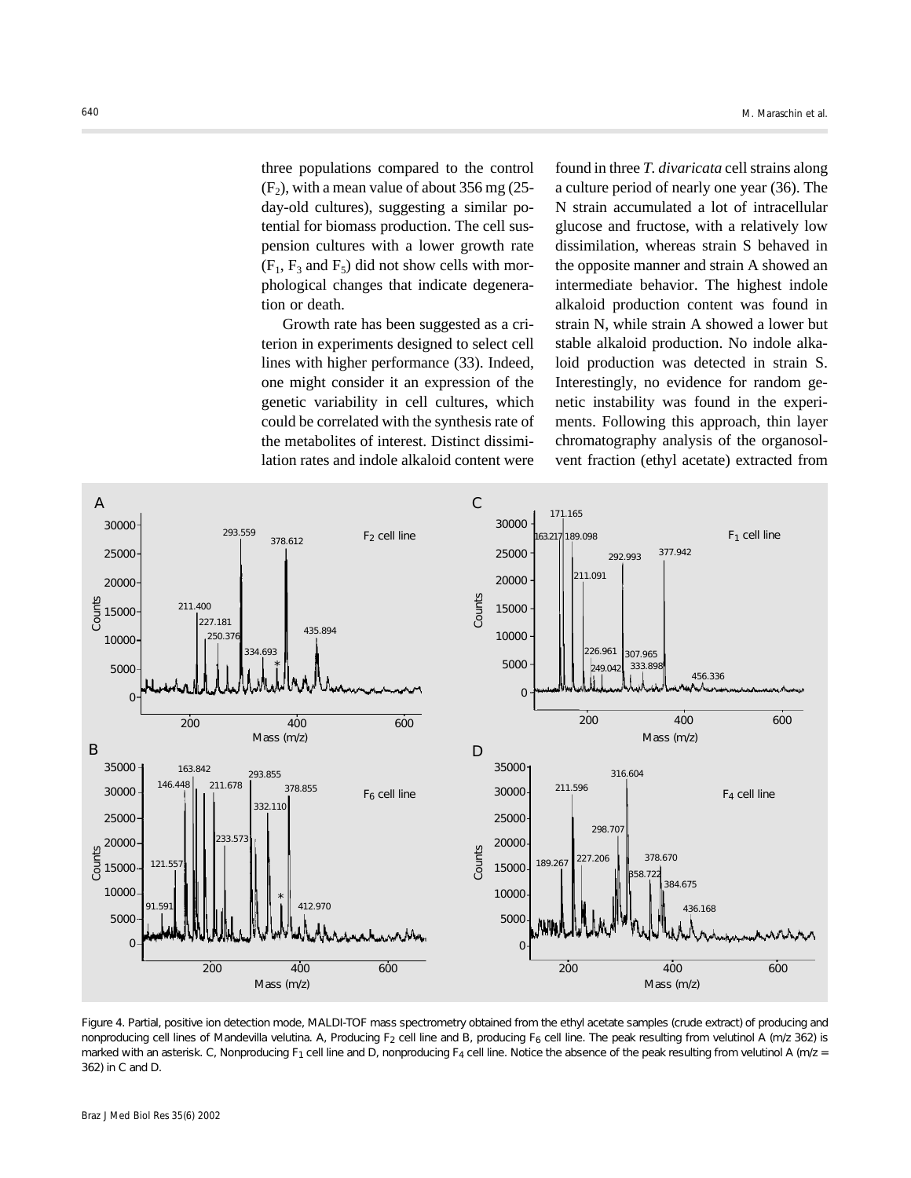three populations compared to the control  $(F<sub>2</sub>)$ , with a mean value of about 356 mg (25day-old cultures), suggesting a similar potential for biomass production. The cell suspension cultures with a lower growth rate  $(F_1, F_3 \text{ and } F_5)$  did not show cells with morphological changes that indicate degeneration or death.

Growth rate has been suggested as a criterion in experiments designed to select cell lines with higher performance (33). Indeed, one might consider it an expression of the genetic variability in cell cultures, which could be correlated with the synthesis rate of the metabolites of interest. Distinct dissimilation rates and indole alkaloid content were

found in three *T. divaricata* cell strains along a culture period of nearly one year (36). The N strain accumulated a lot of intracellular glucose and fructose, with a relatively low dissimilation, whereas strain S behaved in the opposite manner and strain A showed an intermediate behavior. The highest indole alkaloid production content was found in strain N, while strain A showed a lower but stable alkaloid production. No indole alkaloid production was detected in strain S. Interestingly, no evidence for random genetic instability was found in the experiments. Following this approach, thin layer chromatography analysis of the organosolvent fraction (ethyl acetate) extracted from



Figure 4. Partial, positive ion detection mode, MALDI-TOF mass spectrometry obtained from the ethyl acetate samples (crude extract) of producing and nonproducing cell lines of Mandevilla velutina. A, Producing F<sub>2</sub> cell line and B, producing F<sub>6</sub> cell line. The peak resulting from velutinol A (m/z 362) is marked with an asterisk. C, Nonproducing F<sub>1</sub> cell line and D, nonproducing F<sub>4</sub> cell line. Notice the absence of the peak resulting from velutinol A (m/z = 362) in C and D.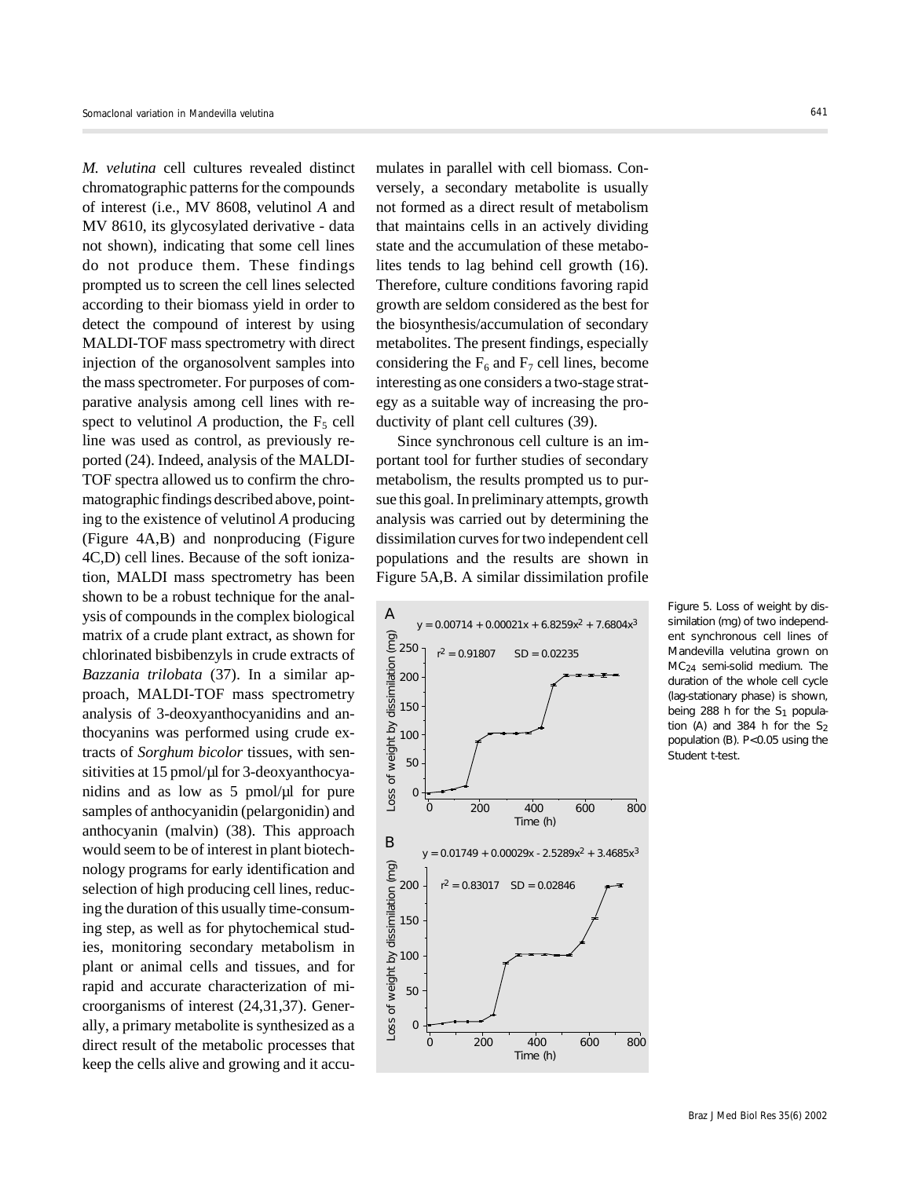*M. velutina* cell cultures revealed distinct chromatographic patterns for the compounds of interest (i.e., MV 8608, velutinol *A* and MV 8610, its glycosylated derivative - data not shown), indicating that some cell lines do not produce them. These findings prompted us to screen the cell lines selected according to their biomass yield in order to detect the compound of interest by using MALDI-TOF mass spectrometry with direct injection of the organosolvent samples into the mass spectrometer. For purposes of comparative analysis among cell lines with respect to velutinol *A* production, the  $F_5$  cell line was used as control, as previously reported (24). Indeed, analysis of the MALDI-TOF spectra allowed us to confirm the chromatographic findings described above, pointing to the existence of velutinol *A* producing (Figure 4A,B) and nonproducing (Figure 4C,D) cell lines. Because of the soft ionization, MALDI mass spectrometry has been shown to be a robust technique for the analysis of compounds in the complex biological matrix of a crude plant extract, as shown for chlorinated bisbibenzyls in crude extracts of *Bazzania trilobata* (37). In a similar approach, MALDI-TOF mass spectrometry analysis of 3-deoxyanthocyanidins and anthocyanins was performed using crude extracts of *Sorghum bicolor* tissues, with sensitivities at 15 pmol/µl for 3-deoxyanthocyanidins and as low as  $5 \text{ pmol}/\mu l$  for pure samples of anthocyanidin (pelargonidin) and anthocyanin (malvin) (38). This approach would seem to be of interest in plant biotechnology programs for early identification and selection of high producing cell lines, reducing the duration of this usually time-consuming step, as well as for phytochemical studies, monitoring secondary metabolism in plant or animal cells and tissues, and for rapid and accurate characterization of microorganisms of interest (24,31,37). Generally, a primary metabolite is synthesized as a direct result of the metabolic processes that keep the cells alive and growing and it accumulates in parallel with cell biomass. Conversely, a secondary metabolite is usually not formed as a direct result of metabolism that maintains cells in an actively dividing state and the accumulation of these metabolites tends to lag behind cell growth (16). Therefore, culture conditions favoring rapid growth are seldom considered as the best for the biosynthesis/accumulation of secondary metabolites. The present findings, especially considering the  $F_6$  and  $F_7$  cell lines, become interesting as one considers a two-stage strategy as a suitable way of increasing the productivity of plant cell cultures (39).

Since synchronous cell culture is an important tool for further studies of secondary metabolism, the results prompted us to pursue this goal. In preliminary attempts, growth analysis was carried out by determining the dissimilation curves for two independent cell populations and the results are shown in Figure 5A,B. A similar dissimilation profile



Figure 5. Loss of weight by dissimilation (mg) of two independent synchronous cell lines of *Mandevilla velutina* grown on MC24 semi-solid medium. The duration of the whole cell cycle (lag-stationary phase) is shown, being 288 h for the  $S_1$  population (A) and 384 h for the  $S_2$ population (B). P<0.05 using the Student *t-*test.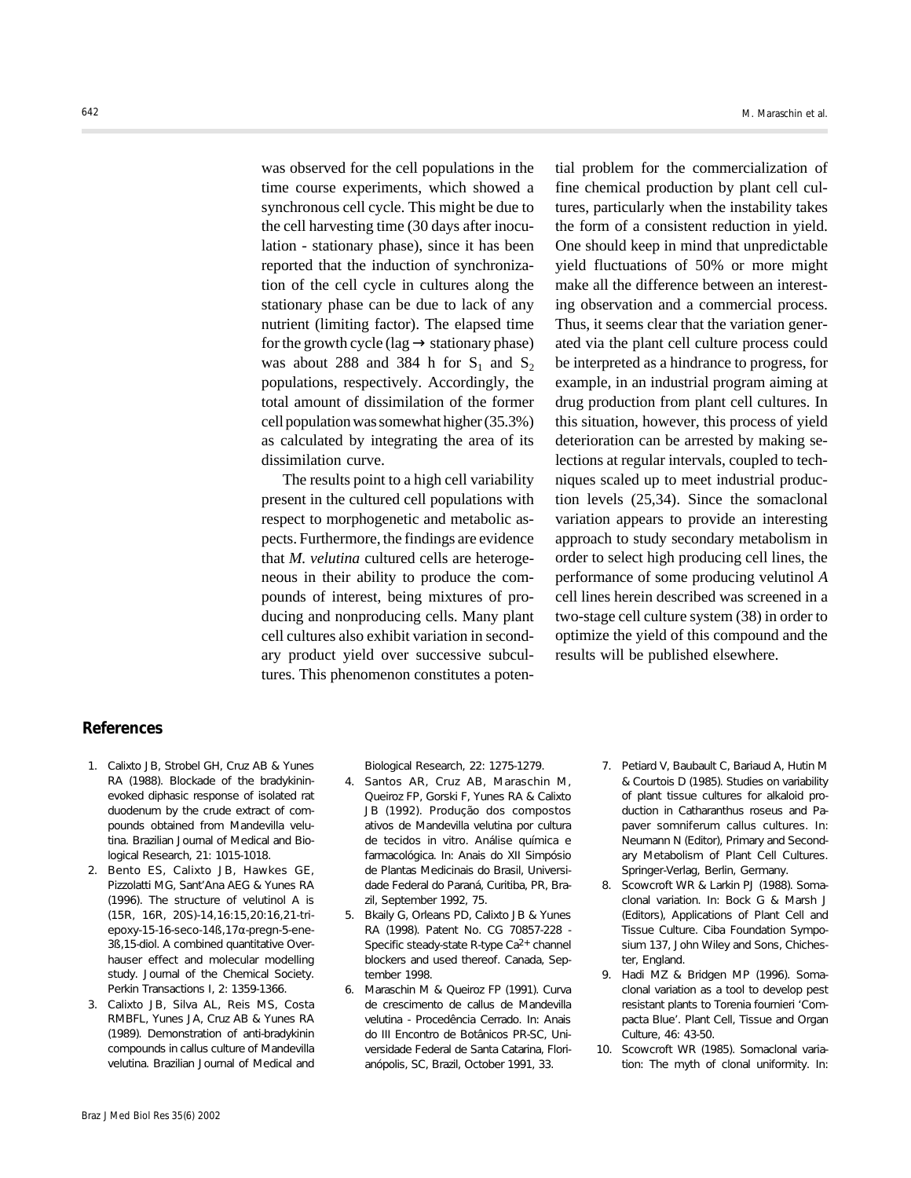was observed for the cell populations in the time course experiments, which showed a synchronous cell cycle. This might be due to the cell harvesting time (30 days after inoculation - stationary phase), since it has been reported that the induction of synchronization of the cell cycle in cultures along the stationary phase can be due to lack of any nutrient (limiting factor). The elapsed time for the growth cycle (lag  $\rightarrow$  stationary phase) was about 288 and 384 h for  $S_1$  and  $S_2$ populations, respectively. Accordingly, the total amount of dissimilation of the former cell population was somewhat higher (35.3%) as calculated by integrating the area of its dissimilation curve.

The results point to a high cell variability present in the cultured cell populations with respect to morphogenetic and metabolic aspects. Furthermore, the findings are evidence that *M. velutina* cultured cells are heterogeneous in their ability to produce the compounds of interest, being mixtures of producing and nonproducing cells. Many plant cell cultures also exhibit variation in secondary product yield over successive subcultures. This phenomenon constitutes a potential problem for the commercialization of fine chemical production by plant cell cultures, particularly when the instability takes the form of a consistent reduction in yield. One should keep in mind that unpredictable yield fluctuations of 50% or more might make all the difference between an interesting observation and a commercial process. Thus, it seems clear that the variation generated via the plant cell culture process could be interpreted as a hindrance to progress, for example, in an industrial program aiming at drug production from plant cell cultures. In this situation, however, this process of yield deterioration can be arrested by making selections at regular intervals, coupled to techniques scaled up to meet industrial production levels (25,34). Since the somaclonal variation appears to provide an interesting approach to study secondary metabolism in order to select high producing cell lines, the performance of some producing velutinol *A* cell lines herein described was screened in a two-stage cell culture system (38) in order to optimize the yield of this compound and the results will be published elsewhere.

# **References**

- 1. Calixto JB, Strobel GH, Cruz AB & Yunes RA (1988). Blockade of the bradykininevoked diphasic response of isolated rat duodenum by the crude extract of compounds obtained from *Mandevilla velutina*. *Brazilian Journal of Medical and Biological Research*, 21: 1015-1018.
- 2. Bento ES, Calixto JB, Hawkes GE, Pizzolatti MG, Sant'Ana AEG & Yunes RA (1996). The structure of velutinol A is (15*R*, 16*R*, 20*S*)-14,16:15,20:16,21-triepoxy-15-16-seco-14ß,17α-pregn-5-ene-3ß,15-diol. A combined quantitative Overhauser effect and molecular modelling study. *Journal of the Chemical Society. Perkin Transactions I*, 2: 1359-1366.
- 3. Calixto JB, Silva AL, Reis MS, Costa RMBFL, Yunes JA, Cruz AB & Yunes RA (1989). Demonstration of anti-bradykinin compounds in callus culture of *Mandevilla velutina. Brazilian Journal of Medical and*

*Biological Research*, 22: 1275-1279.

- 4. Santos AR, Cruz AB, Maraschin M, Queiroz FP, Gorski F, Yunes RA & Calixto JB (1992). Produção dos compostos ativos de *Mandevilla velutina* por cultura de tecidos *in vitro*. Análise química e farmacológica. In: *Anais do XII Simpósio de Plantas Medicinais do Brasil*, Universidade Federal do Paraná, Curitiba, PR, Brazil, September 1992, 75.
- 5. Bkaily G, Orleans PD, Calixto JB & Yunes RA (1998). Patent No. CG 70857-228 - Specific steady-state R-type  $Ca<sup>2+</sup>$  channel blockers and used thereof. Canada, September 1998.
- 6. Maraschin M & Queiroz FP (1991). Curva de crescimento de callus de *Mandevilla velutina* - Procedência Cerrado. In: *Anais do III Encontro de Botânicos PR-SC*, Universidade Federal de Santa Catarina, Florianópolis, SC, Brazil, October 1991, 33.
- 7. Petiard V, Baubault C, Bariaud A, Hutin M & Courtois D (1985). Studies on variability of plant tissue cultures for alkaloid production in *Catharanthus roseus* and *Papaver somniferum* callus cultures. In: Neumann N (Editor), *Primary and Secondary Metabolism of Plant Cell Cultures*. Springer-Verlag, Berlin, Germany.
- 8. Scowcroft WR & Larkin PJ (1988). Somaclonal variation. In: Bock G & Marsh J (Editors), *Applications of Plant Cell and Tissue Culture*. Ciba Foundation Symposium 137, John Wiley and Sons, Chichester, England.
- 9. Hadi MZ & Bridgen MP (1996). Somaclonal variation as a tool to develop pest resistant plants to *Torenia fournieri* 'Compacta Blue'. *Plant Cell, Tissue and Organ Culture*, 46: 43-50.
- 10. Scowcroft WR (1985). Somaclonal variation: The myth of clonal uniformity. In: